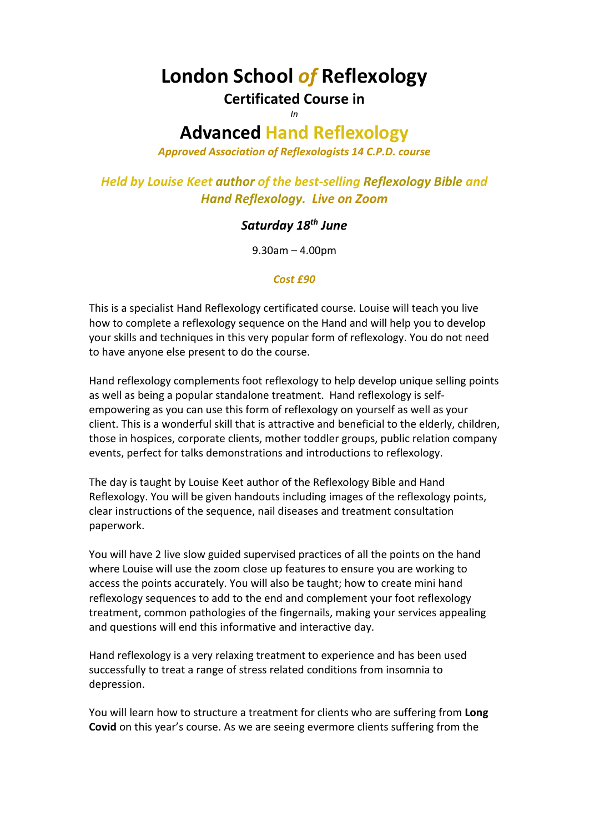# **London School** *of* **Reflexology**

## **Certificated Course in**

*In*

## **Advanced Hand Reflexology**

*Approved Association of Reflexologists 14 C.P.D. course*

*Held by Louise Keet author of the best-selling Reflexology Bible and Hand Reflexology. Live on Zoom*

### *Saturday 18th June*

9.30am – 4.00pm

#### *Cost £90*

This is a specialist Hand Reflexology certificated course. Louise will teach you live how to complete a reflexology sequence on the Hand and will help you to develop your skills and techniques in this very popular form of reflexology. You do not need to have anyone else present to do the course.

Hand reflexology complements foot reflexology to help develop unique selling points as well as being a popular standalone treatment. Hand reflexology is selfempowering as you can use this form of reflexology on yourself as well as your client. This is a wonderful skill that is attractive and beneficial to the elderly, children, those in hospices, corporate clients, mother toddler groups, public relation company events, perfect for talks demonstrations and introductions to reflexology.

The day is taught by Louise Keet author of the Reflexology Bible and Hand Reflexology. You will be given handouts including images of the reflexology points, clear instructions of the sequence, nail diseases and treatment consultation paperwork.

You will have 2 live slow guided supervised practices of all the points on the hand where Louise will use the zoom close up features to ensure you are working to access the points accurately. You will also be taught; how to create mini hand reflexology sequences to add to the end and complement your foot reflexology treatment, common pathologies of the fingernails, making your services appealing and questions will end this informative and interactive day.

Hand reflexology is a very relaxing treatment to experience and has been used successfully to treat a range of stress related conditions from insomnia to depression.

You will learn how to structure a treatment for clients who are suffering from **Long Covid** on this year's course. As we are seeing evermore clients suffering from the